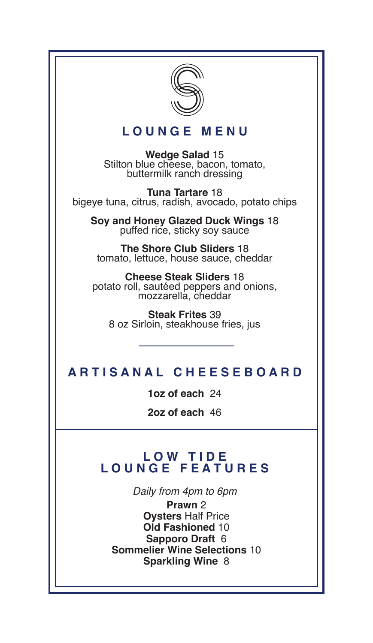

## **L O U N G E M E N U**

**Wedge Salad** 15 Stilton blue cheese, bacon, tomato, buttermilk ranch dressing

**Tuna Tartare** 18 bigeye tuna, citrus, radish, avocado, potato chips

**Soy and Honey Glazed Duck Wings** 18 puffed rice, sticky soy sauce

**The Shore Club Sliders** 18 tomato, lettuce, house sauce, cheddar

**Cheese Steak Sliders** 18 potato roll, sautéed peppers and onions, mozzarella, cheddar

**Steak Frites** 39 8 oz Sirloin, steakhouse fries, jus

## **A R T I S A N A L C H E E S E B O A R D**

**1oz of each** 24

**2oz of each** 46

#### **L O W T I D E L O U N G E F E A T U R E S**

*Daily from 4pm to 6pm* 

**Prawn** 2 **Oysters** Half Price **Old Fashioned** 10 **Sapporo Draft** 6 **Sommelier Wine Selections** 10 **Sparkling Wine** 8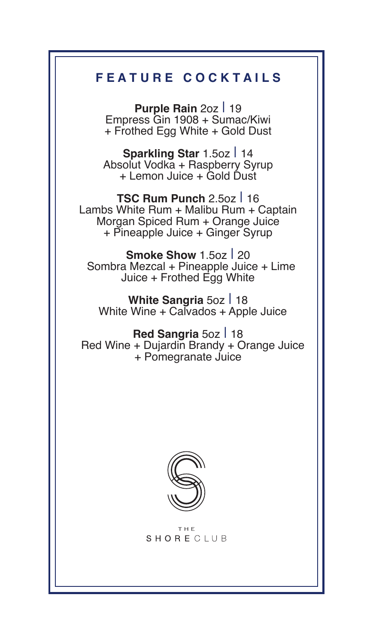# **F E A T U R E C O C K T A I L S**

**Purple Rain 2oz | 19** Empress Gin 1908 + Sumac/Kiwi + Frothed Egg White + Gold Dust

**Sparkling Star** 1.5oz I 14 Absolut Vodka + Raspberry Syrup + Lemon Juice + Gold Dust

**TSC Rum Punch** 2.5oz I 16 Lambs White Rum + Malibu Rum + Captain Morgan Spiced Rum + Orange Juice + Pineapple Juice + Ginger Syrup

**Smoke Show 1.5oz | 20**  Sombra Mezcal + Pineapple Juice + Lime Juice + Frothed Egg White

**White Sangria 5oz | 18** White Wine + Calvados + Apple Juice

Red Sangria 5oz | 18 Red Wine + Dujardin Brandy + Orange Juice + Pomegranate Juice



T H F SHORECLUB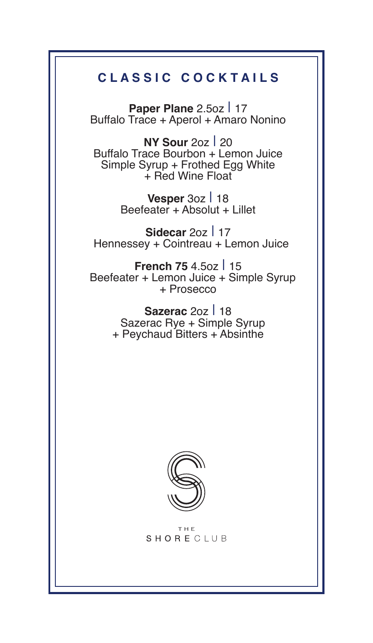# **C L A S S I C C O C K T A I L S**

**Paper Plane 2.5oz | 17** Buffalo Trace + Aperol + Amaro Nonino

**NY Sour** 2oz I 20 Buffalo Trace Bourbon + Lemon Juice Simple Syrup + Frothed Egg White + Red Wine Float

> **Vesper 3oz | 18** Beefeater + Absolut + Lillet

**Sidecar 20z | 17** Hennessey + Cointreau + Lemon Juice

**French 75 4.5oz | 15**  Beefeater + Lemon Juice + Simple Syrup + Prosecco

> **Sazerac 207 | 18**  Sazerac Rye + Simple Syrup + Peychaud Bitters + Absinthe



THF. SHORECLUB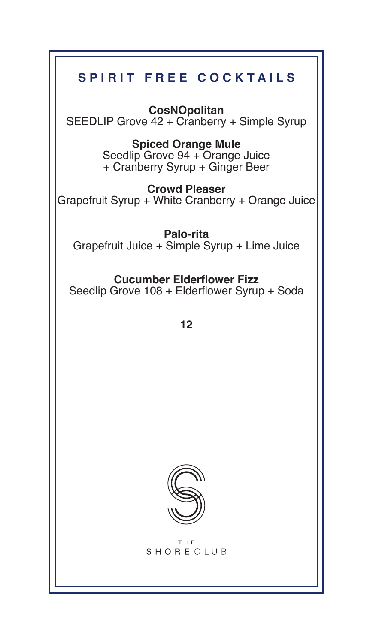# **SPIRIT FREE COCKTAILS**

**CosNOpolitan**  SEEDLIP Grove 42 + Cranberry + Simple Syrup

#### **Spiced Orange Mule**  Seedlip Grove 94 + Orange Juice

+ Cranberry Syrup + Ginger Beer

**Crowd Pleaser**  Grapefruit Syrup + White Cranberry + Orange Juice

**Palo-rita**  Grapefruit Juice + Simple Syrup + Lime Juice

# **Cucumber Elderflower Fizz**

Seedlip Grove 108 + Elderflower Syrup + Soda

**12** 



THE. **SHORECLUB**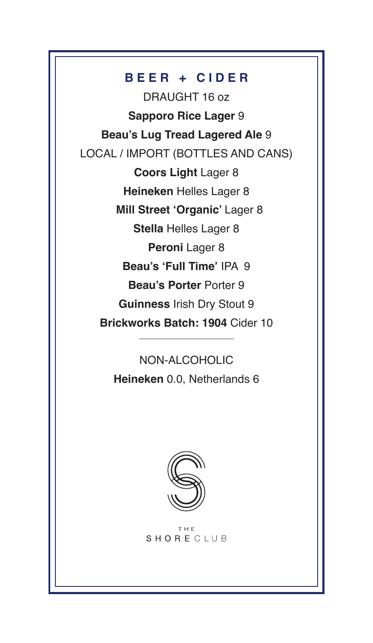## **B E E R + C I D E R**

DRAUGHT 16 oz **Sapporo Rice Lager** 9 **Beau's Lug Tread Lagered Ale** 9 LOCAL / IMPORT (BOTTLES AND CANS) **Coors Light** Lager <sup>8</sup> **Heineken** Helles Lager 8  **Mill Street 'Organic'** Lager <sup>8</sup> **Stella** Helles Lager 8 **Peroni Lager 8 Beau's 'Full Time'** IPA 9 **Beau's Porter** Porter <sup>9</sup> **Guinness** Irish Dry Stout <sup>9</sup> **Brickworks Batch: 1904** Cider 10

> NON-ALCOHOLIC **Heineken** 0.0, Netherlands 6



THE SHORECLUB